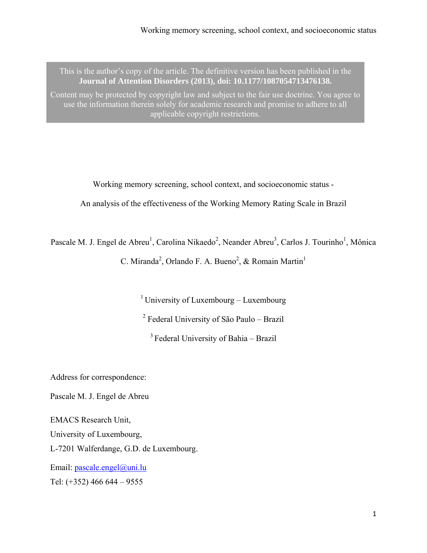This is the author's copy of the article. The definitive version has been published in the **Journal of Attention Disorders (2013), doi: 10.1177/1087054713476138.** 

Content may be protected by copyright law and subject to the fair use doctrine. You agree to use the information therein solely for academic research and promise to adhere to all applicable copyright restrictions.

Working memory screening, school context, and socioeconomic status -

An analysis of the effectiveness of the Working Memory Rating Scale in Brazil

Pascale M. J. Engel de Abreu<sup>1</sup>, Carolina Nikaedo<sup>2</sup>, Neander Abreu<sup>3</sup>, Carlos J. Tourinho<sup>1</sup>, Mônica C. Miranda<sup>2</sup>, Orlando F. A. Bueno<sup>2</sup>, & Romain Martin<sup>1</sup>

<sup>1</sup> University of Luxembourg – Luxembourg

<sup>2</sup> Federal University of São Paulo – Brazil

3 Federal University of Bahia – Brazil

Address for correspondence:

Pascale M. J. Engel de Abreu

EMACS Research Unit, University of Luxembourg, L-7201 Walferdange, G.D. de Luxembourg.

Email: [pascale.engel@uni.lu](mailto:pascale.engel@uni.lu) Tel: (+352) 466 644 – 9555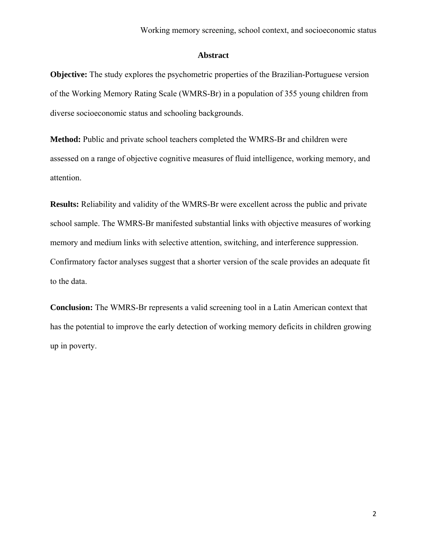## **Abstract**

**Objective:** The study explores the psychometric properties of the Brazilian-Portuguese version of the Working Memory Rating Scale (WMRS-Br) in a population of 355 young children from diverse socioeconomic status and schooling backgrounds.

**Method:** Public and private school teachers completed the WMRS-Br and children were assessed on a range of objective cognitive measures of fluid intelligence, working memory, and attention.

**Results:** Reliability and validity of the WMRS-Br were excellent across the public and private school sample. The WMRS-Br manifested substantial links with objective measures of working memory and medium links with selective attention, switching, and interference suppression. Confirmatory factor analyses suggest that a shorter version of the scale provides an adequate fit to the data.

**Conclusion:** The WMRS-Br represents a valid screening tool in a Latin American context that has the potential to improve the early detection of working memory deficits in children growing up in poverty.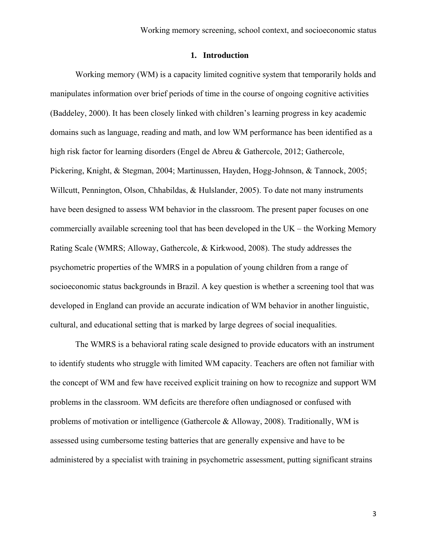## **1. Introduction**

Working memory (WM) is a capacity limited cognitive system that temporarily holds and manipulates information over brief periods of time in the course of ongoing cognitive activities (Baddeley, 2000). It has been closely linked with children's learning progress in key academic domains such as language, reading and math, and low WM performance has been identified as a high risk factor for learning disorders (Engel de Abreu & Gathercole, 2012; Gathercole, Pickering, Knight, & Stegman, 2004; Martinussen, Hayden, Hogg-Johnson, & Tannock, 2005; Willcutt, Pennington, Olson, Chhabildas, & Hulslander, 2005). To date not many instruments have been designed to assess WM behavior in the classroom. The present paper focuses on one commercially available screening tool that has been developed in the UK – the Working Memory Rating Scale (WMRS; Alloway, Gathercole, & Kirkwood, 2008). The study addresses the psychometric properties of the WMRS in a population of young children from a range of socioeconomic status backgrounds in Brazil. A key question is whether a screening tool that was developed in England can provide an accurate indication of WM behavior in another linguistic, cultural, and educational setting that is marked by large degrees of social inequalities.

 The WMRS is a behavioral rating scale designed to provide educators with an instrument to identify students who struggle with limited WM capacity. Teachers are often not familiar with the concept of WM and few have received explicit training on how to recognize and support WM problems in the classroom. WM deficits are therefore often undiagnosed or confused with problems of motivation or intelligence (Gathercole & Alloway, 2008). Traditionally, WM is assessed using cumbersome testing batteries that are generally expensive and have to be administered by a specialist with training in psychometric assessment, putting significant strains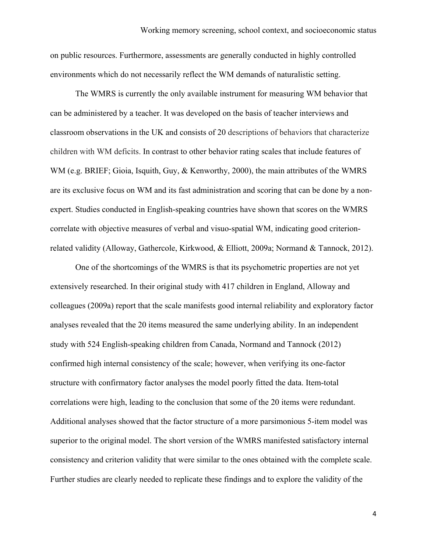on public resources. Furthermore, assessments are generally conducted in highly controlled environments which do not necessarily reflect the WM demands of naturalistic setting.

The WMRS is currently the only available instrument for measuring WM behavior that can be administered by a teacher. It was developed on the basis of teacher interviews and classroom observations in the UK and consists of 20 descriptions of behaviors that characterize children with WM deficits. In contrast to other behavior rating scales that include features of WM (e.g. BRIEF; Gioia, Isquith, Guy, & Kenworthy, 2000), the main attributes of the WMRS are its exclusive focus on WM and its fast administration and scoring that can be done by a nonexpert. Studies conducted in English-speaking countries have shown that scores on the WMRS correlate with objective measures of verbal and visuo-spatial WM, indicating good criterionrelated validity (Alloway, Gathercole, Kirkwood, & Elliott, 2009a; Normand & Tannock, 2012).

One of the shortcomings of the WMRS is that its psychometric properties are not yet extensively researched. In their original study with 417 children in England, Alloway and colleagues (2009a) report that the scale manifests good internal reliability and exploratory factor analyses revealed that the 20 items measured the same underlying ability. In an independent study with 524 English-speaking children from Canada, Normand and Tannock (2012) confirmed high internal consistency of the scale; however, when verifying its one-factor structure with confirmatory factor analyses the model poorly fitted the data. Item-total correlations were high, leading to the conclusion that some of the 20 items were redundant. Additional analyses showed that the factor structure of a more parsimonious 5-item model was superior to the original model. The short version of the WMRS manifested satisfactory internal consistency and criterion validity that were similar to the ones obtained with the complete scale. Further studies are clearly needed to replicate these findings and to explore the validity of the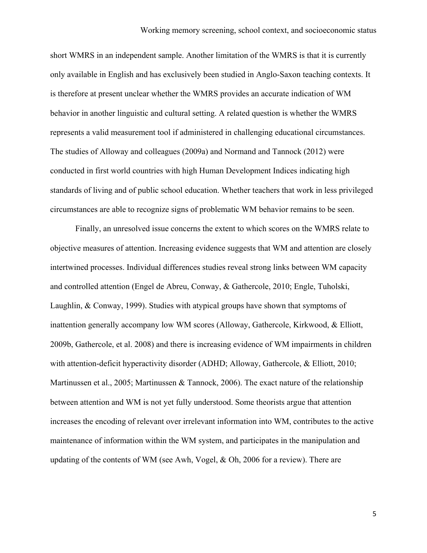short WMRS in an independent sample. Another limitation of the WMRS is that it is currently only available in English and has exclusively been studied in Anglo-Saxon teaching contexts. It is therefore at present unclear whether the WMRS provides an accurate indication of WM behavior in another linguistic and cultural setting. A related question is whether the WMRS represents a valid measurement tool if administered in challenging educational circumstances. The studies of Alloway and colleagues (2009a) and Normand and Tannock (2012) were conducted in first world countries with high Human Development Indices indicating high standards of living and of public school education. Whether teachers that work in less privileged circumstances are able to recognize signs of problematic WM behavior remains to be seen.

Finally, an unresolved issue concerns the extent to which scores on the WMRS relate to objective measures of attention. Increasing evidence suggests that WM and attention are closely intertwined processes. Individual differences studies reveal strong links between WM capacity and controlled attention (Engel de Abreu, Conway, & Gathercole, 2010; Engle, Tuholski, Laughlin, & Conway, 1999). Studies with atypical groups have shown that symptoms of inattention generally accompany low WM scores (Alloway, Gathercole, Kirkwood, & Elliott, 2009b, Gathercole, et al. 2008) and there is increasing evidence of WM impairments in children with attention-deficit hyperactivity disorder (ADHD; Alloway, Gathercole, & Elliott, 2010; Martinussen et al., 2005; Martinussen & Tannock, 2006). The exact nature of the relationship between attention and WM is not yet fully understood. Some theorists argue that attention increases the encoding of relevant over irrelevant information into WM, contributes to the active maintenance of information within the WM system, and participates in the manipulation and updating of the contents of WM (see Awh, Vogel, & Oh, 2006 for a review). There are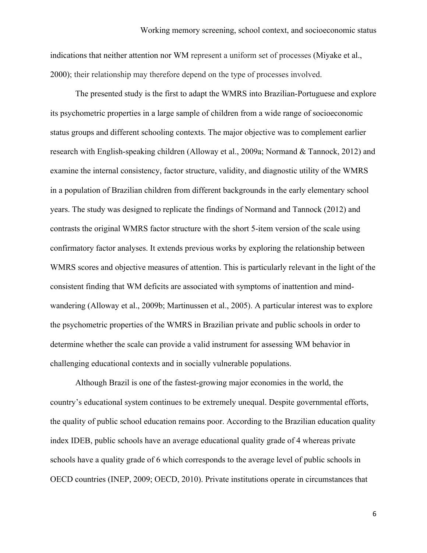indications that neither attention nor WM represent a uniform set of processes (Miyake et al., 2000); their relationship may therefore depend on the type of processes involved.

The presented study is the first to adapt the WMRS into Brazilian-Portuguese and explore its psychometric properties in a large sample of children from a wide range of socioeconomic status groups and different schooling contexts. The major objective was to complement earlier research with English-speaking children (Alloway et al., 2009a; Normand & Tannock, 2012) and examine the internal consistency, factor structure, validity, and diagnostic utility of the WMRS in a population of Brazilian children from different backgrounds in the early elementary school years. The study was designed to replicate the findings of Normand and Tannock (2012) and contrasts the original WMRS factor structure with the short 5-item version of the scale using confirmatory factor analyses. It extends previous works by exploring the relationship between WMRS scores and objective measures of attention. This is particularly relevant in the light of the consistent finding that WM deficits are associated with symptoms of inattention and mindwandering (Alloway et al., 2009b; Martinussen et al., 2005). A particular interest was to explore the psychometric properties of the WMRS in Brazilian private and public schools in order to determine whether the scale can provide a valid instrument for assessing WM behavior in challenging educational contexts and in socially vulnerable populations.

Although Brazil is one of the fastest-growing major economies in the world, the country's educational system continues to be extremely unequal. Despite governmental efforts, the quality of public school education remains poor. According to the Brazilian education quality index IDEB, public schools have an average educational quality grade of 4 whereas private schools have a quality grade of 6 which corresponds to the average level of public schools in OECD countries (INEP, 2009; OECD, 2010). Private institutions operate in circumstances that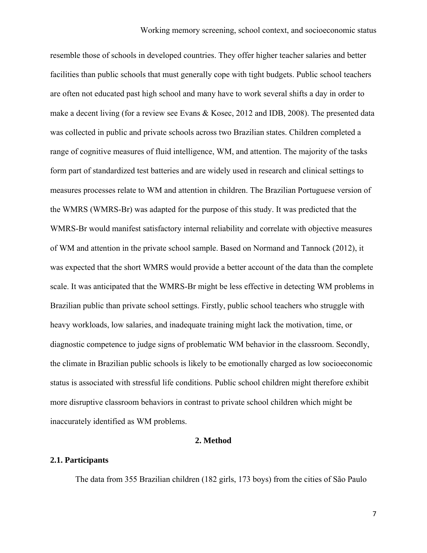resemble those of schools in developed countries. They offer higher teacher salaries and better facilities than public schools that must generally cope with tight budgets. Public school teachers are often not educated past high school and many have to work several shifts a day in order to make a decent living (for a review see Evans & Kosec, 2012 and IDB, 2008). The presented data was collected in public and private schools across two Brazilian states. Children completed a range of cognitive measures of fluid intelligence, WM, and attention. The majority of the tasks form part of standardized test batteries and are widely used in research and clinical settings to measures processes relate to WM and attention in children. The Brazilian Portuguese version of the WMRS (WMRS-Br) was adapted for the purpose of this study. It was predicted that the WMRS-Br would manifest satisfactory internal reliability and correlate with objective measures of WM and attention in the private school sample. Based on Normand and Tannock (2012), it was expected that the short WMRS would provide a better account of the data than the complete scale. It was anticipated that the WMRS-Br might be less effective in detecting WM problems in Brazilian public than private school settings. Firstly, public school teachers who struggle with heavy workloads, low salaries, and inadequate training might lack the motivation, time, or diagnostic competence to judge signs of problematic WM behavior in the classroom. Secondly, the climate in Brazilian public schools is likely to be emotionally charged as low socioeconomic status is associated with stressful life conditions. Public school children might therefore exhibit more disruptive classroom behaviors in contrast to private school children which might be inaccurately identified as WM problems.

## **2. Method**

### **2.1. Participants**

The data from 355 Brazilian children (182 girls, 173 boys) from the cities of São Paulo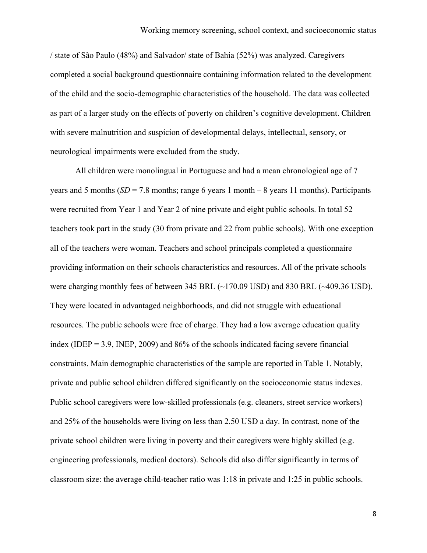/ state of São Paulo (48%) and Salvador/ state of Bahia (52%) was analyzed. Caregivers completed a social background questionnaire containing information related to the development of the child and the socio-demographic characteristics of the household. The data was collected as part of a larger study on the effects of poverty on children's cognitive development. Children with severe malnutrition and suspicion of developmental delays, intellectual, sensory, or neurological impairments were excluded from the study.

All children were monolingual in Portuguese and had a mean chronological age of 7 years and 5 months  $(SD = 7.8$  months; range 6 years 1 month – 8 years 11 months). Participants were recruited from Year 1 and Year 2 of nine private and eight public schools. In total 52 teachers took part in the study (30 from private and 22 from public schools). With one exception all of the teachers were woman. Teachers and school principals completed a questionnaire providing information on their schools characteristics and resources. All of the private schools were charging monthly fees of between 345 BRL (~170.09 USD) and 830 BRL (~409.36 USD). They were located in advantaged neighborhoods, and did not struggle with educational resources. The public schools were free of charge. They had a low average education quality index (IDEP =  $3.9$ , INEP, 2009) and  $86%$  of the schools indicated facing severe financial constraints. Main demographic characteristics of the sample are reported in Table 1. Notably, private and public school children differed significantly on the socioeconomic status indexes. Public school caregivers were low-skilled professionals (e.g. cleaners, street service workers) and 25% of the households were living on less than 2.50 USD a day. In contrast, none of the private school children were living in poverty and their caregivers were highly skilled (e.g. engineering professionals, medical doctors). Schools did also differ significantly in terms of classroom size: the average child-teacher ratio was 1:18 in private and 1:25 in public schools.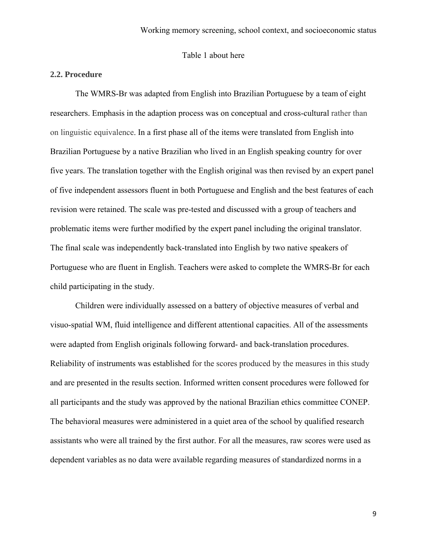Table 1 about here

## **2.2. Procedure**

The WMRS-Br was adapted from English into Brazilian Portuguese by a team of eight researchers. Emphasis in the adaption process was on conceptual and cross-cultural rather than on linguistic equivalence. In a first phase all of the items were translated from English into Brazilian Portuguese by a native Brazilian who lived in an English speaking country for over five years. The translation together with the English original was then revised by an expert panel of five independent assessors fluent in both Portuguese and English and the best features of each revision were retained. The scale was pre-tested and discussed with a group of teachers and problematic items were further modified by the expert panel including the original translator. The final scale was independently back-translated into English by two native speakers of Portuguese who are fluent in English. Teachers were asked to complete the WMRS-Br for each child participating in the study.

Children were individually assessed on a battery of objective measures of verbal and visuo-spatial WM, fluid intelligence and different attentional capacities. All of the assessments were adapted from English originals following forward- and back-translation procedures. Reliability of instruments was established for the scores produced by the measures in this study and are presented in the results section. Informed written consent procedures were followed for all participants and the study was approved by the national Brazilian ethics committee CONEP. The behavioral measures were administered in a quiet area of the school by qualified research assistants who were all trained by the first author. For all the measures, raw scores were used as dependent variables as no data were available regarding measures of standardized norms in a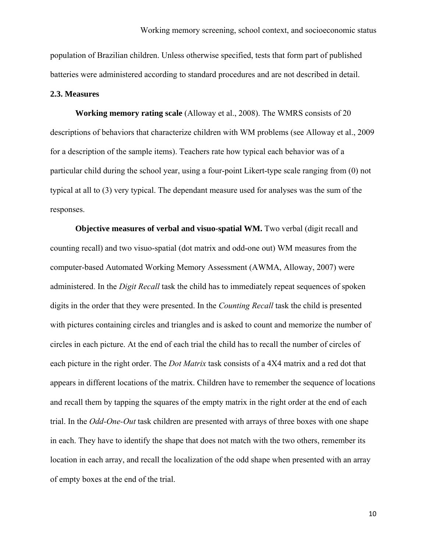population of Brazilian children. Unless otherwise specified, tests that form part of published batteries were administered according to standard procedures and are not described in detail.

#### **2.3. Measures**

**Working memory rating scale** (Alloway et al., 2008). The WMRS consists of 20 descriptions of behaviors that characterize children with WM problems (see Alloway et al., 2009 for a description of the sample items). Teachers rate how typical each behavior was of a particular child during the school year, using a four-point Likert-type scale ranging from (0) not typical at all to (3) very typical. The dependant measure used for analyses was the sum of the responses.

**Objective measures of verbal and visuo-spatial WM.** Two verbal (digit recall and counting recall) and two visuo-spatial (dot matrix and odd-one out) WM measures from the computer-based Automated Working Memory Assessment (AWMA, Alloway, 2007) were administered. In the *Digit Recall* task the child has to immediately repeat sequences of spoken digits in the order that they were presented. In the *Counting Recall* task the child is presented with pictures containing circles and triangles and is asked to count and memorize the number of circles in each picture. At the end of each trial the child has to recall the number of circles of each picture in the right order. The *Dot Matrix* task consists of a 4X4 matrix and a red dot that appears in different locations of the matrix. Children have to remember the sequence of locations and recall them by tapping the squares of the empty matrix in the right order at the end of each trial. In the *Odd-One-Out* task children are presented with arrays of three boxes with one shape in each. They have to identify the shape that does not match with the two others, remember its location in each array, and recall the localization of the odd shape when presented with an array of empty boxes at the end of the trial.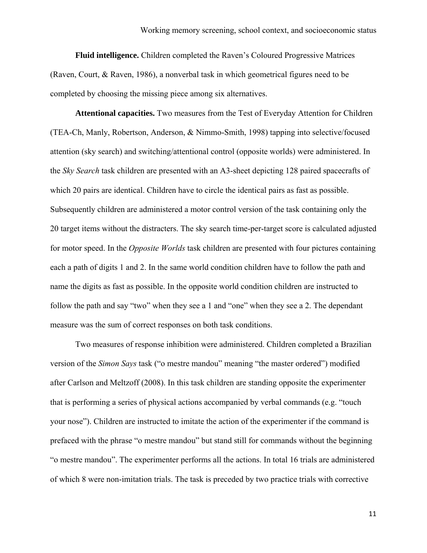**Fluid intelligence.** Children completed the Raven's Coloured Progressive Matrices (Raven, Court, & Raven, 1986), a nonverbal task in which geometrical figures need to be completed by choosing the missing piece among six alternatives.

**Attentional capacities.** Two measures from the Test of Everyday Attention for Children (TEA-Ch, Manly, Robertson, Anderson, & Nimmo-Smith, 1998) tapping into selective/focused attention (sky search) and switching/attentional control (opposite worlds) were administered. In the *Sky Search* task children are presented with an A3-sheet depicting 128 paired spacecrafts of which 20 pairs are identical. Children have to circle the identical pairs as fast as possible. Subsequently children are administered a motor control version of the task containing only the 20 target items without the distracters. The sky search time-per-target score is calculated adjusted for motor speed. In the *Opposite Worlds* task children are presented with four pictures containing each a path of digits 1 and 2. In the same world condition children have to follow the path and name the digits as fast as possible. In the opposite world condition children are instructed to follow the path and say "two" when they see a 1 and "one" when they see a 2. The dependant measure was the sum of correct responses on both task conditions.

Two measures of response inhibition were administered. Children completed a Brazilian version of the *Simon Says* task ("o mestre mandou" meaning "the master ordered") modified after Carlson and Meltzoff (2008). In this task children are standing opposite the experimenter that is performing a series of physical actions accompanied by verbal commands (e.g. "touch your nose"). Children are instructed to imitate the action of the experimenter if the command is prefaced with the phrase "o mestre mandou" but stand still for commands without the beginning "o mestre mandou". The experimenter performs all the actions. In total 16 trials are administered of which 8 were non-imitation trials. The task is preceded by two practice trials with corrective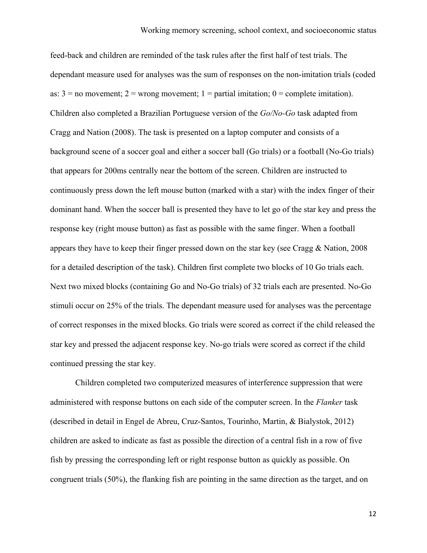feed-back and children are reminded of the task rules after the first half of test trials. The dependant measure used for analyses was the sum of responses on the non-imitation trials (coded as:  $3 =$  no movement;  $2 =$  wrong movement;  $1 =$  partial imitation;  $0 =$  complete imitation). Children also completed a Brazilian Portuguese version of the *Go/No-Go* task adapted from Cragg and Nation (2008). The task is presented on a laptop computer and consists of a background scene of a soccer goal and either a soccer ball (Go trials) or a football (No-Go trials) that appears for 200ms centrally near the bottom of the screen. Children are instructed to continuously press down the left mouse button (marked with a star) with the index finger of their dominant hand. When the soccer ball is presented they have to let go of the star key and press the response key (right mouse button) as fast as possible with the same finger. When a football appears they have to keep their finger pressed down on the star key (see Cragg & Nation, 2008 for a detailed description of the task). Children first complete two blocks of 10 Go trials each. Next two mixed blocks (containing Go and No-Go trials) of 32 trials each are presented. No-Go stimuli occur on 25% of the trials. The dependant measure used for analyses was the percentage of correct responses in the mixed blocks. Go trials were scored as correct if the child released the star key and pressed the adjacent response key. No-go trials were scored as correct if the child continued pressing the star key.

Children completed two computerized measures of interference suppression that were administered with response buttons on each side of the computer screen. In the *Flanker* task (described in detail in Engel de Abreu, Cruz-Santos, Tourinho, Martin, & Bialystok, 2012) children are asked to indicate as fast as possible the direction of a central fish in a row of five fish by pressing the corresponding left or right response button as quickly as possible. On congruent trials (50%), the flanking fish are pointing in the same direction as the target, and on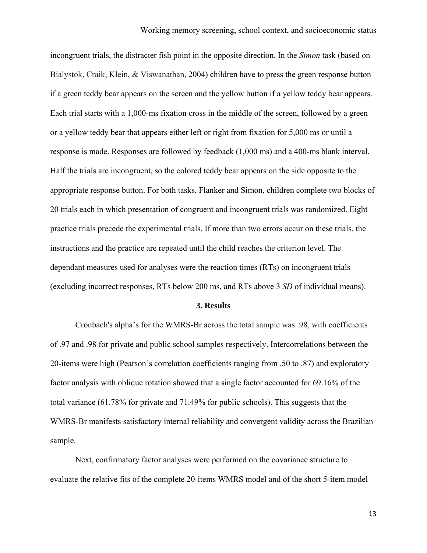incongruent trials, the distracter fish point in the opposite direction. In the *Simon* task (based on Bialystok, Craik, Klein, & Viswanathan, 2004) children have to press the green response button if a green teddy bear appears on the screen and the yellow button if a yellow teddy bear appears. Each trial starts with a 1,000-ms fixation cross in the middle of the screen, followed by a green or a yellow teddy bear that appears either left or right from fixation for 5,000 ms or until a response is made. Responses are followed by feedback (1,000 ms) and a 400-ms blank interval. Half the trials are incongruent, so the colored teddy bear appears on the side opposite to the appropriate response button. For both tasks, Flanker and Simon, children complete two blocks of 20 trials each in which presentation of congruent and incongruent trials was randomized. Eight practice trials precede the experimental trials. If more than two errors occur on these trials, the instructions and the practice are repeated until the child reaches the criterion level. The dependant measures used for analyses were the reaction times (RTs) on incongruent trials (excluding incorrect responses, RTs below 200 ms, and RTs above 3 *SD* of individual means).

## **3. Results**

Cronbach's alpha's for the WMRS-Br across the total sample was .98, with coefficients of .97 and .98 for private and public school samples respectively. Intercorrelations between the 20-items were high (Pearson's correlation coefficients ranging from .50 to .87) and exploratory factor analysis with oblique rotation showed that a single factor accounted for 69.16% of the total variance (61.78% for private and 71.49% for public schools). This suggests that the WMRS-Br manifests satisfactory internal reliability and convergent validity across the Brazilian sample.

Next, confirmatory factor analyses were performed on the covariance structure to evaluate the relative fits of the complete 20-items WMRS model and of the short 5-item model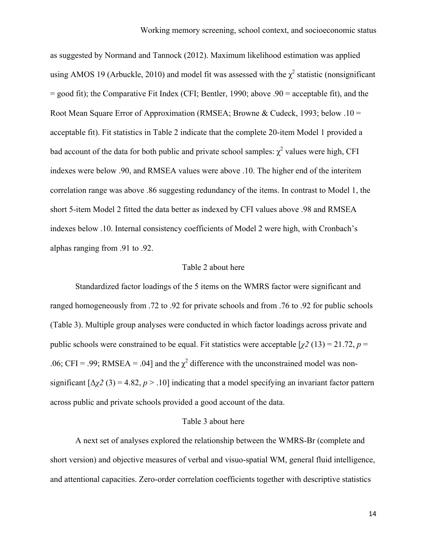as suggested by Normand and Tannock (2012). Maximum likelihood estimation was applied using AMOS 19 (Arbuckle, 2010) and model fit was assessed with the  $\chi^2$  statistic (nonsignificant = good fit); the Comparative Fit Index (CFI; Bentler, 1990; above .90 = acceptable fit), and the Root Mean Square Error of Approximation (RMSEA; Browne & Cudeck, 1993; below .10 = acceptable fit). Fit statistics in Table 2 indicate that the complete 20-item Model 1 provided a bad account of the data for both public and private school samples:  $\chi^2$  values were high, CFI indexes were below .90, and RMSEA values were above .10. The higher end of the interitem correlation range was above .86 suggesting redundancy of the items. In contrast to Model 1, the short 5-item Model 2 fitted the data better as indexed by CFI values above .98 and RMSEA indexes below .10. Internal consistency coefficients of Model 2 were high, with Cronbach's alphas ranging from .91 to .92.

#### Table 2 about here

Standardized factor loadings of the 5 items on the WMRS factor were significant and ranged homogeneously from .72 to .92 for private schools and from .76 to .92 for public schools (Table 3). Multiple group analyses were conducted in which factor loadings across private and public schools were constrained to be equal. Fit statistics were acceptable  $[\chi^2 (13) = 21.72, p =$ .06; CFI = .99; RMSEA = .04] and the  $\chi^2$  difference with the unconstrained model was nonsignificant  $[\Delta \chi^2 (3) = 4.82, p > .10]$  indicating that a model specifying an invariant factor pattern across public and private schools provided a good account of the data.

#### Table 3 about here

A next set of analyses explored the relationship between the WMRS-Br (complete and short version) and objective measures of verbal and visuo-spatial WM, general fluid intelligence, and attentional capacities. Zero-order correlation coefficients together with descriptive statistics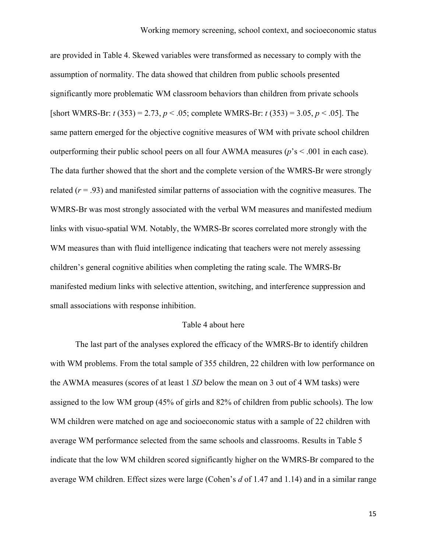are provided in Table 4. Skewed variables were transformed as necessary to comply with the assumption of normality. The data showed that children from public schools presented significantly more problematic WM classroom behaviors than children from private schools [short WMRS-Br: *t* (353) = 2.73, *p* < .05; complete WMRS-Br: *t* (353) = 3.05, *p* < .05]. The same pattern emerged for the objective cognitive measures of WM with private school children outperforming their public school peers on all four AWMA measures (*p*'s < .001 in each case). The data further showed that the short and the complete version of the WMRS-Br were strongly related  $(r = .93)$  and manifested similar patterns of association with the cognitive measures. The WMRS-Br was most strongly associated with the verbal WM measures and manifested medium links with visuo-spatial WM. Notably, the WMRS-Br scores correlated more strongly with the WM measures than with fluid intelligence indicating that teachers were not merely assessing children's general cognitive abilities when completing the rating scale. The WMRS-Br manifested medium links with selective attention, switching, and interference suppression and small associations with response inhibition.

#### Table 4 about here

The last part of the analyses explored the efficacy of the WMRS-Br to identify children with WM problems. From the total sample of 355 children, 22 children with low performance on the AWMA measures (scores of at least 1 *SD* below the mean on 3 out of 4 WM tasks) were assigned to the low WM group (45% of girls and 82% of children from public schools). The low WM children were matched on age and socioeconomic status with a sample of 22 children with average WM performance selected from the same schools and classrooms. Results in Table 5 indicate that the low WM children scored significantly higher on the WMRS-Br compared to the average WM children. Effect sizes were large (Cohen's *d* of 1.47 and 1.14) and in a similar range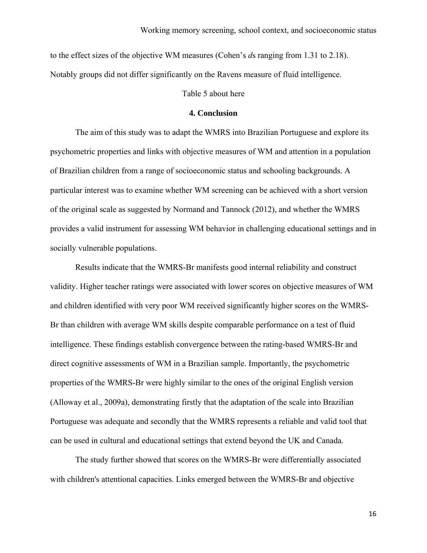to the effect sizes of the objective WM measures (Cohen's *d*s ranging from 1.31 to 2.18). Notably groups did not differ significantly on the Ravens measure of fluid intelligence.

## Table 5 about here

#### **4. Conclusion**

The aim of this study was to adapt the WMRS into Brazilian Portuguese and explore its psychometric properties and links with objective measures of WM and attention in a population of Brazilian children from a range of socioeconomic status and schooling backgrounds. A particular interest was to examine whether WM screening can be achieved with a short version of the original scale as suggested by Normand and Tannock (2012), and whether the WMRS provides a valid instrument for assessing WM behavior in challenging educational settings and in socially vulnerable populations.

 Results indicate that the WMRS-Br manifests good internal reliability and construct validity. Higher teacher ratings were associated with lower scores on objective measures of WM and children identified with very poor WM received significantly higher scores on the WMRS-Br than children with average WM skills despite comparable performance on a test of fluid intelligence. These findings establish convergence between the rating-based WMRS-Br and direct cognitive assessments of WM in a Brazilian sample. Importantly, the psychometric properties of the WMRS-Br were highly similar to the ones of the original English version (Alloway et al., 2009a), demonstrating firstly that the adaptation of the scale into Brazilian Portuguese was adequate and secondly that the WMRS represents a reliable and valid tool that can be used in cultural and educational settings that extend beyond the UK and Canada.

 The study further showed that scores on the WMRS-Br were differentially associated with children's attentional capacities. Links emerged between the WMRS-Br and objective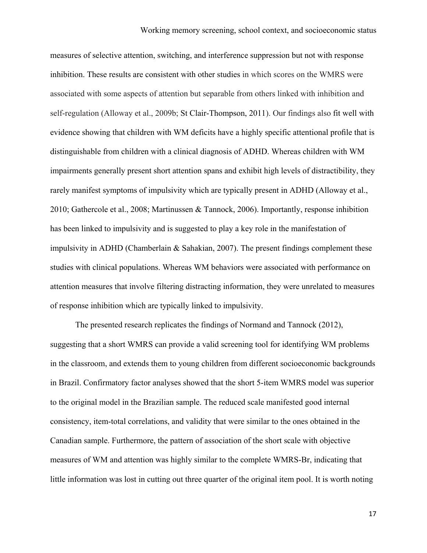measures of selective attention, switching, and interference suppression but not with response inhibition. These results are consistent with other studies in which scores on the WMRS were associated with some aspects of attention but separable from others linked with inhibition and self-regulation (Alloway et al., 2009b; St Clair-Thompson, 2011). Our findings also fit well with evidence showing that children with WM deficits have a highly specific attentional profile that is distinguishable from children with a clinical diagnosis of ADHD. Whereas children with WM impairments generally present short attention spans and exhibit high levels of distractibility, they rarely manifest symptoms of impulsivity which are typically present in ADHD (Alloway et al., 2010; Gathercole et al., 2008; Martinussen & Tannock, 2006). Importantly, response inhibition has been linked to impulsivity and is suggested to play a key role in the manifestation of impulsivity in ADHD (Chamberlain & Sahakian, 2007). The present findings complement these studies with clinical populations. Whereas WM behaviors were associated with performance on attention measures that involve filtering distracting information, they were unrelated to measures of response inhibition which are typically linked to impulsivity.

 The presented research replicates the findings of Normand and Tannock (2012), suggesting that a short WMRS can provide a valid screening tool for identifying WM problems in the classroom, and extends them to young children from different socioeconomic backgrounds in Brazil. Confirmatory factor analyses showed that the short 5-item WMRS model was superior to the original model in the Brazilian sample. The reduced scale manifested good internal consistency, item-total correlations, and validity that were similar to the ones obtained in the Canadian sample. Furthermore, the pattern of association of the short scale with objective measures of WM and attention was highly similar to the complete WMRS-Br, indicating that little information was lost in cutting out three quarter of the original item pool. It is worth noting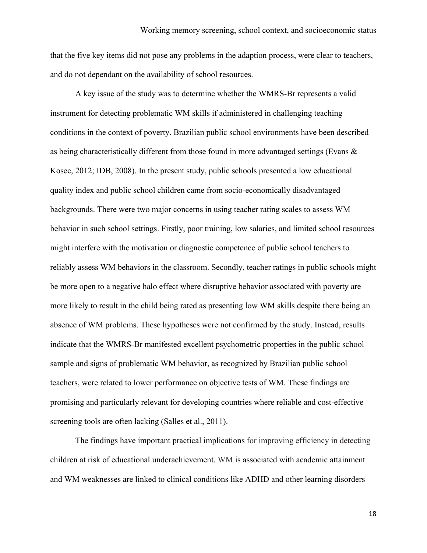that the five key items did not pose any problems in the adaption process, were clear to teachers, and do not dependant on the availability of school resources.

 A key issue of the study was to determine whether the WMRS-Br represents a valid instrument for detecting problematic WM skills if administered in challenging teaching conditions in the context of poverty. Brazilian public school environments have been described as being characteristically different from those found in more advantaged settings (Evans & Kosec, 2012; IDB, 2008). In the present study, public schools presented a low educational quality index and public school children came from socio-economically disadvantaged backgrounds. There were two major concerns in using teacher rating scales to assess WM behavior in such school settings. Firstly, poor training, low salaries, and limited school resources might interfere with the motivation or diagnostic competence of public school teachers to reliably assess WM behaviors in the classroom. Secondly, teacher ratings in public schools might be more open to a negative halo effect where disruptive behavior associated with poverty are more likely to result in the child being rated as presenting low WM skills despite there being an absence of WM problems. These hypotheses were not confirmed by the study. Instead, results indicate that the WMRS-Br manifested excellent psychometric properties in the public school sample and signs of problematic WM behavior, as recognized by Brazilian public school teachers, were related to lower performance on objective tests of WM. These findings are promising and particularly relevant for developing countries where reliable and cost-effective screening tools are often lacking (Salles et al., 2011).

The findings have important practical implications for improving efficiency in detecting children at risk of educational underachievement. WM is associated with academic attainment and WM weaknesses are linked to clinical conditions like ADHD and other learning disorders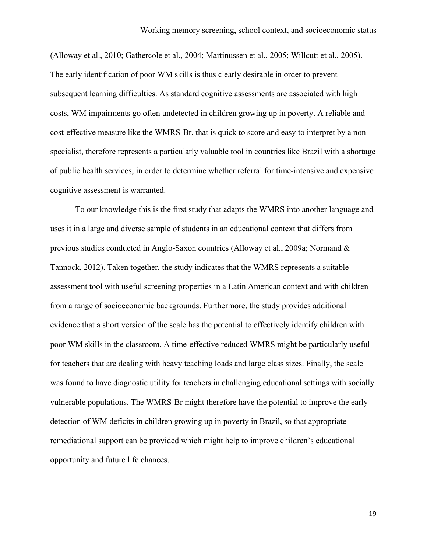(Alloway et al., 2010; Gathercole et al., 2004; Martinussen et al., 2005; Willcutt et al., 2005). The early identification of poor WM skills is thus clearly desirable in order to prevent subsequent learning difficulties. As standard cognitive assessments are associated with high costs, WM impairments go often undetected in children growing up in poverty. A reliable and cost-effective measure like the WMRS-Br, that is quick to score and easy to interpret by a nonspecialist, therefore represents a particularly valuable tool in countries like Brazil with a shortage of public health services, in order to determine whether referral for time-intensive and expensive cognitive assessment is warranted.

To our knowledge this is the first study that adapts the WMRS into another language and uses it in a large and diverse sample of students in an educational context that differs from previous studies conducted in Anglo-Saxon countries (Alloway et al., 2009a; Normand & Tannock, 2012). Taken together, the study indicates that the WMRS represents a suitable assessment tool with useful screening properties in a Latin American context and with children from a range of socioeconomic backgrounds. Furthermore, the study provides additional evidence that a short version of the scale has the potential to effectively identify children with poor WM skills in the classroom. A time-effective reduced WMRS might be particularly useful for teachers that are dealing with heavy teaching loads and large class sizes. Finally, the scale was found to have diagnostic utility for teachers in challenging educational settings with socially vulnerable populations. The WMRS-Br might therefore have the potential to improve the early detection of WM deficits in children growing up in poverty in Brazil, so that appropriate remediational support can be provided which might help to improve children's educational opportunity and future life chances.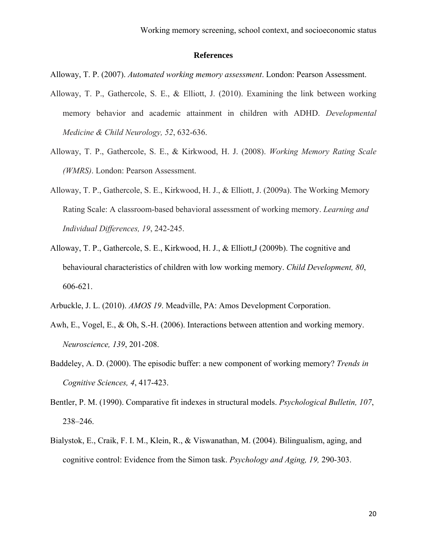## **References**

Alloway, T. P. (2007). *Automated working memory assessment*. London: Pearson Assessment.

- Alloway, T. P., Gathercole, S. E., & Elliott, J. (2010). Examining the link between working memory behavior and academic attainment in children with ADHD. *Developmental Medicine & Child Neurology, 52*, 632-636.
- Alloway, T. P., Gathercole, S. E., & Kirkwood, H. J. (2008). *Working Memory Rating Scale (WMRS)*. London: Pearson Assessment.
- Alloway, T. P., Gathercole, S. E., Kirkwood, H. J., & Elliott, J. (2009a). The Working Memory Rating Scale: A classroom-based behavioral assessment of working memory. *Learning and Individual Differences, 19*, 242-245.
- Alloway, T. P., Gathercole, S. E., Kirkwood, H. J., & Elliott,J (2009b). The cognitive and behavioural characteristics of children with low working memory. *Child Development, 80*, 606-621.
- Arbuckle, J. L. (2010). *AMOS 19*. Meadville, PA: Amos Development Corporation.
- Awh, E., Vogel, E., & Oh, S.-H. (2006). Interactions between attention and working memory. *Neuroscience, 139*, 201-208.
- Baddeley, A. D. (2000). The episodic buffer: a new component of working memory? *Trends in Cognitive Sciences, 4*, 417-423.
- Bentler, P. M. (1990). Comparative fit indexes in structural models. *Psychological Bulletin, 107*, 238–246.
- Bialystok, E., Craik, F. I. M., Klein, R., & Viswanathan, M. (2004). Bilingualism, aging, and cognitive control: Evidence from the Simon task. *Psychology and Aging, 19,* 290-303.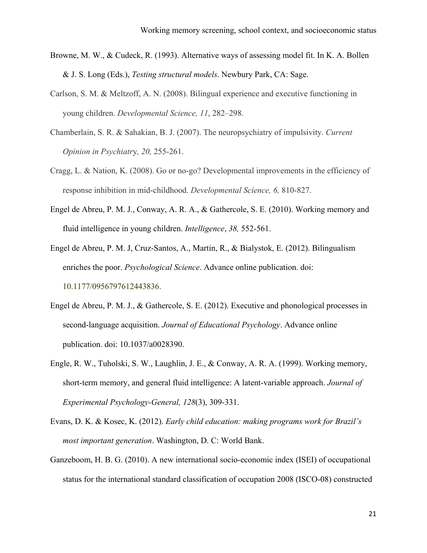- Browne, M. W., & Cudeck, R. (1993). Alternative ways of assessing model fit. In K. A. Bollen & J. S. Long (Eds.), *Testing structural models*. Newbury Park, CA: Sage.
- Carlson, S. M. & Meltzoff, A. N. (2008). Bilingual experience and executive functioning in young children. *Developmental Science, 11*, 282–298.
- Chamberlain, S. R. & Sahakian, B. J. (2007). The neuropsychiatry of impulsivity. *Current Opinion in Psychiatr*y*, 20,* 255-261.
- Cragg, L. & Nation, K. (2008). Go or no-go? Developmental improvements in the efficiency of response inhibition in mid-childhood. *Developmental Science, 6,* 810-827.
- Engel de Abreu, P. M. J., Conway, A. R. A., & Gathercole, S. E. (2010). Working memory and fluid intelligence in young children. *Intelligence*, *38,* 552-561.

Engel de Abreu, P. M. J, Cruz-Santos, A., Martin, R., & Bialystok, E. (2012). Bilingualism enriches the poor. *Psychological Science*. Advance online publication. doi: 10.1177/0956797612443836.

- Engel de Abreu, P. M. J., & Gathercole, S. E. (2012). Executive and phonological processes in second-language acquisition. *Journal of Educational Psychology*. Advance online publication. doi: 10.1037/a0028390.
- Engle, R. W., Tuholski, S. W., Laughlin, J. E., & Conway, A. R. A. (1999). Working memory, short-term memory, and general fluid intelligence: A latent-variable approach. *Journal of Experimental Psychology-General, 128*(3), 309-331.
- Evans, D. K. & Kosec, K. (2012). *Early child education: making programs work for Brazil's most important generation*. Washington, D. C: World Bank.
- Ganzeboom, H. B. G. (2010). A new international socio-economic index (ISEI) of occupational status for the international standard classification of occupation 2008 (ISCO-08) constructed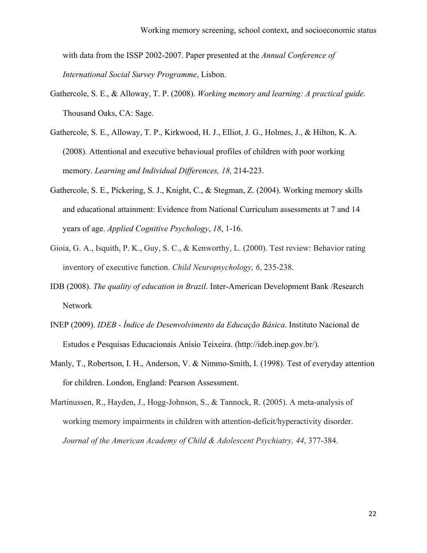with data from the ISSP 2002-2007. Paper presented at the *Annual Conference of International Social Survey Programme*, Lisbon.

- Gathercole, S. E., & Alloway, T. P. (2008). *Working memory and learning: A practical guide*. Thousand Oaks, CA: Sage.
- Gathercole, S. E., Alloway, T. P., Kirkwood, H. J., Elliot, J. G., Holmes, J., & Hilton, K. A. (2008). Attentional and executive behavioual profiles of children with poor working memory. *Learning and Individual Differences, 18,* 214-223.
- Gathercole, S. E., Pickering, S. J., Knight, C., & Stegman, Z. (2004). Working memory skills and educational attainment: Evidence from National Curriculum assessments at 7 and 14 years of age. *Applied Cognitive Psychology*, *18*, 1-16.
- Gioia, G. A., Isquith, P. K., Guy, S. C., & Kenworthy, L. (2000). Test review: Behavior rating inventory of executive function. *Child Neuropsychology, 6*, 235-238.
- IDB (2008). *The quality of education in Brazil*. Inter-American Development Bank /Research Network
- INEP (2009). *IDEB Índice de Desenvolvimento da Educação Básica*. Instituto Nacional de Estudos e Pesquisas Educacionais Anísio Teixeira. (<http://ideb.inep.gov.br/>).
- Manly, T., Robertson, I. H., Anderson, V. & Nimmo-Smith, I. (1998). Test of everyday attention for children. London, England: Pearson Assessment.
- Martinussen, R., Hayden, J., Hogg-Johnson, S., & Tannock, R. (2005). A meta-analysis of working memory impairments in children with attention-deficit/hyperactivity disorder. *Journal of the American Academy of Child & Adolescent Psychiatry, 44*, 377-384.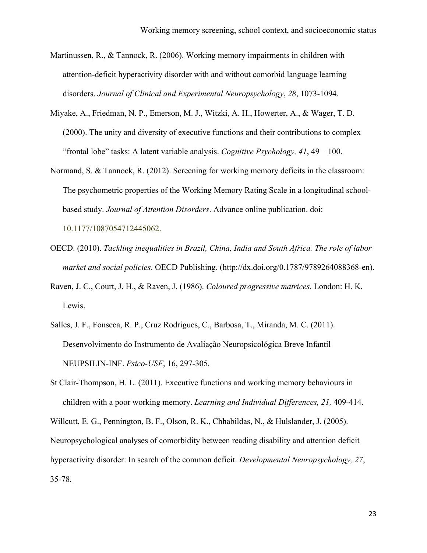- Martinussen, R., & Tannock, R. (2006). Working memory impairments in children with attention-deficit hyperactivity disorder with and without comorbid language learning disorders. *Journal of Clinical and Experimental Neuropsychology*, *28*, 1073-1094.
- Miyake, A., Friedman, N. P., Emerson, M. J., Witzki, A. H., Howerter, A., & Wager, T. D. (2000). The unity and diversity of executive functions and their contributions to complex "frontal lobe" tasks: A latent variable analysis. *Cognitive Psychology, 41*, 49 – 100.
- Normand, S. & Tannock, R. (2012). Screening for working memory deficits in the classroom: The psychometric properties of the Working Memory Rating Scale in a longitudinal schoolbased study. *Journal of Attention Disorders*. Advance online publication. doi:

10.1177/1087054712445062.

- OECD. (2010). *Tackling inequalities in Brazil, China, India and South Africa. The role of labor market and social policies*. OECD Publishing. (http://dx.doi.org/0.1787/9789264088368-en).
- Raven, J. C., Court, J. H., & Raven, J. (1986). *Coloured progressive matrices*. London: H. K. Lewis.
- Salles, J. F., Fonseca, R. P., Cruz Rodrigues, C., Barbosa, T., Miranda, M. C. (2011). Desenvolvimento do Instrumento de Avaliação Neuropsicológica Breve Infantil NEUPSILIN-INF. *Psico-USF*, 16, 297-305.

St Clair-Thompson, H. L. (2011). Executive functions and working memory behaviours in children with a poor working memory. *Learning and Individual Differences, 21,* 409-414. Willcutt, E. G., Pennington, B. F., Olson, R. K., Chhabildas, N., & Hulslander, J. (2005). Neuropsychological analyses of comorbidity between reading disability and attention deficit hyperactivity disorder: In search of the common deficit. *Developmental Neuropsychology, 27*, 35-78.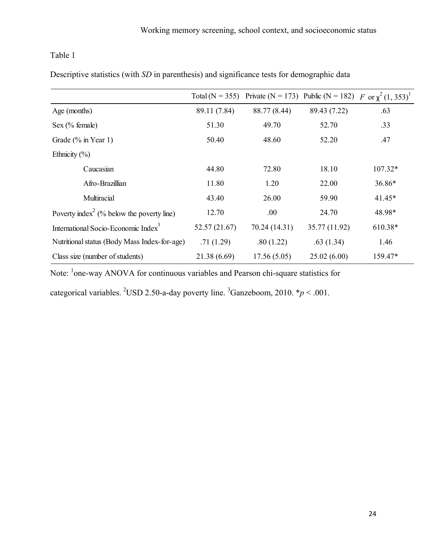Descriptive statistics (with *SD* in parenthesis) and significance tests for demographic data

|                                                       |               | Total (N = 355) Private (N = 173) Public (N = 182) F or $\chi^2$ (1, 353) <sup>1</sup> |               |           |
|-------------------------------------------------------|---------------|----------------------------------------------------------------------------------------|---------------|-----------|
| Age (months)                                          | 89.11 (7.84)  | 88.77 (8.44)                                                                           | 89.43 (7.22)  | .63       |
| Sex (% female)                                        | 51.30         | 49.70                                                                                  | 52.70         | .33       |
| Grade $(\%$ in Year 1)                                | 50.40         | 48.60                                                                                  | 52.20         | .47       |
| Ethnicity $(\% )$                                     |               |                                                                                        |               |           |
| Caucasian                                             | 44.80         | 72.80                                                                                  | 18.10         | $107.32*$ |
| Afro-Brazillian                                       | 11.80         | 1.20                                                                                   | 22.00         | 36.86*    |
| Multiracial                                           | 43.40         | 26.00                                                                                  | 59.90         | $41.45*$  |
| Poverty index <sup>2</sup> (% below the poverty line) | 12.70         | .00.                                                                                   | 24.70         | 48.98*    |
| International Socio-Economic Index <sup>3</sup>       | 52.57 (21.67) | 70.24 (14.31)                                                                          | 35.77 (11.92) | 610.38*   |
| Nutritional status (Body Mass Index-for-age)          | .71(1.29)     | .80(1.22)                                                                              | .63(1.34)     | 1.46      |
| Class size (number of students)                       | 21.38(6.69)   | 17.56(5.05)                                                                            | 25.02(6.00)   | 159.47*   |

Note: <sup>1</sup>one-way ANOVA for continuous variables and Pearson chi-square statistics for

categorical variables. <sup>2</sup>USD 2.50-a-day poverty line. <sup>3</sup>Ganzeboom, 2010.  $* p < .001$ .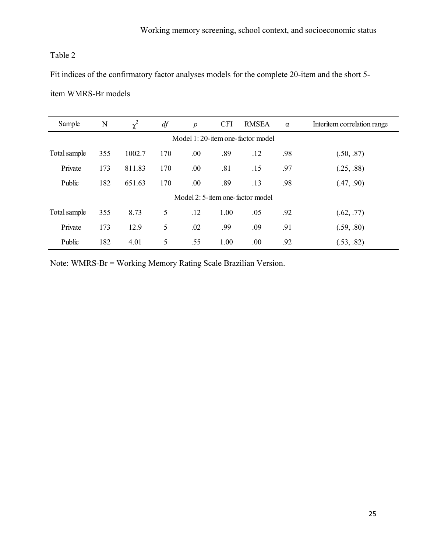Fit indices of the confirmatory factor analyses models for the complete 20-item and the short 5-

|  | item WMRS-Br models |
|--|---------------------|
|--|---------------------|

| Sample                           | N   | $\chi^2$ | df  | $\overline{p}$ | <b>CFI</b> | <b>RMSEA</b> | $\alpha$ | Interitem correlation range |  |
|----------------------------------|-----|----------|-----|----------------|------------|--------------|----------|-----------------------------|--|
| Model 1:20-item one-factor model |     |          |     |                |            |              |          |                             |  |
| Total sample                     | 355 | 1002.7   | 170 | .00            | .89        | .12          | .98      | (.50, .87)                  |  |
| Private                          | 173 | 811.83   | 170 | .00            | .81        | .15          | .97      | (.25, .88)                  |  |
| Public                           | 182 | 651.63   | 170 | .00            | .89        | .13          | .98      | (.47, .90)                  |  |
| Model 2:5-item one-factor model  |     |          |     |                |            |              |          |                             |  |
| Total sample                     | 355 | 8.73     | 5   | .12            | 1.00       | .05          | .92      | (.62, .77)                  |  |
| Private                          | 173 | 12.9     | 5   | .02            | .99        | .09          | .91      | (.59, .80)                  |  |
| Public                           | 182 | 4.01     | 5   | .55            | 1.00       | .00          | .92      | (.53, .82)                  |  |

Note: WMRS-Br = Working Memory Rating Scale Brazilian Version.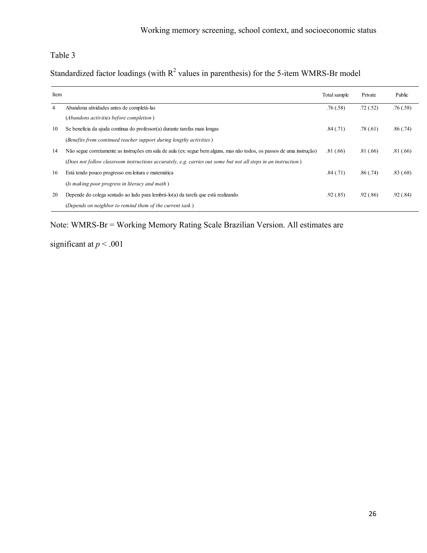Standardized factor loadings (with  $R^2$  values in parenthesis) for the 5-item WMRS-Br model

| Item |                                                                                                                        | Total sample | Private   | Public   |
|------|------------------------------------------------------------------------------------------------------------------------|--------------|-----------|----------|
| 4    | Abandona atividades antes de completá-las                                                                              | .76(.58)     | .72(.52)  | .76(.58) |
|      | (Abandons activities before completion)                                                                                |              |           |          |
| 10   | Se beneficia da ajuda contínua do professor(a) durante tarefas mais longas                                             | .84(.71)     | .78(.61)  | .86(.74) |
|      | (Benefits from continued teacher support during lengthy activities)                                                    |              |           |          |
| 14   | Não segue corretamente as instruções em sala de aula (ex: segue bem alguns, mas não todos, os passos de uma instrução) | .81(0.66)    | .81(0.66) | .81(.66) |
|      | (Does not follow classroom instructions accurately, e.g. carries out some but not all steps in an instruction)         |              |           |          |
| 16   | Está tendo pouco progresso em leitura e matemática                                                                     | .84(.71)     | .86(.74)  | .83(.68) |
|      | (Is making poor progress in literacy and math)                                                                         |              |           |          |
| 20   | Depende do colega sentado ao lado para lembrá-lo(a) da tarefa que está realizando                                      | .92(.85)     | .92(.86)  | .92(.84) |
|      | (Depends on neighbor to remind them of the current task)                                                               |              |           |          |

Note: WMRS-Br = Working Memory Rating Scale Brazilian Version. All estimates are

significant at  $p < .001$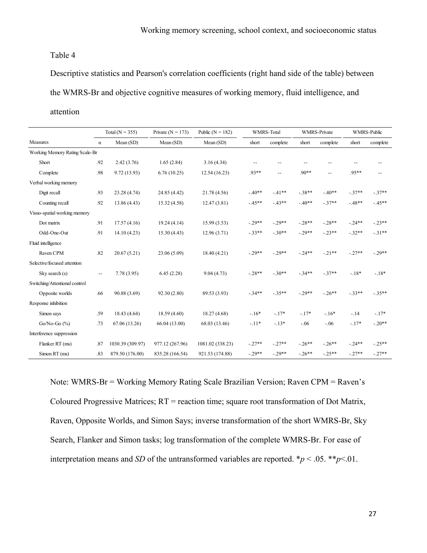Descriptive statistics and Pearson's correlation coefficients (right hand side of the table) between the WMRS-Br and objective cognitive measures of working memory, fluid intelligence, and

## attention

|                                |          | Total ( $N = 355$ ) | Private ( $N = 173$ ) | Public ( $N = 182$ ) |                          | <b>WMRS-Total</b>        |          | <b>WMRS-Private</b>        |           | <b>WMRS-Public</b>         |
|--------------------------------|----------|---------------------|-----------------------|----------------------|--------------------------|--------------------------|----------|----------------------------|-----------|----------------------------|
| Measures                       | $\alpha$ | Mean (SD)           | Mean (SD)             | Mean (SD)            | short                    | complete                 | short    | complete                   | short     | complete                   |
| Working Memory Rating Scale-Br |          |                     |                       |                      |                          |                          |          |                            |           |                            |
| Short                          | .92      | 2.42(3.76)          | 1.65(2.84)            | 3.16(4.34)           | $\overline{\phantom{a}}$ |                          |          | --                         | --        | $\overline{\phantom{a}}$ . |
| Complete                       | .98      | 9.72 (13.93)        | 6.76(10.25)           | 12.54 (16.23)        | .93**                    | $\overline{\phantom{a}}$ | $.90**$  | $\overline{\phantom{a}}$ . | 95**      | $\overline{\phantom{a}}$   |
| Verbal working memory          |          |                     |                       |                      |                          |                          |          |                            |           |                            |
| Digit recall                   | .93      | 23.28 (4.74)        | 24.85 (4.42)          | 21.78 (4.56)         | $-40**$                  | $-41**$                  | $-.38**$ | $-40**$                    | $-.37**$  | $-.37**$                   |
| Counting recall                | .92      | 13.86 (4.43)        | 15.32 (4.58)          | 12.47 (3.81)         | $-45**$                  | $-43**$                  | $-40**$  | $-.37**$                   | $-48**$   | $-45**$                    |
| Visuo-spatial working memory   |          |                     |                       |                      |                          |                          |          |                            |           |                            |
| Dot matrix                     | .91      | 17.57(4.16)         | 19.24(4.14)           | 15.99(3.53)          | $-.29**$                 | $-.29**$                 | $-.28**$ | $-.28**$                   | $-.24**$  | $-.23**$                   |
| Odd-One-Out                    | .91      | 14.10(4.23)         | 15.30(4.43)           | 12.96(3.71)          | $-.33**$                 | $-.30**$                 | $-.29**$ | $-.23**$                   | $-.32**$  | $-31**$                    |
| Fluid intelligence             |          |                     |                       |                      |                          |                          |          |                            |           |                            |
| Raven CPM                      | .82      | 20.67(5.21)         | 23.06 (5.09)          | 18.40 (4.21)         | $-.29**$                 | $-.29**$                 | $-.24**$ | $-21**$                    | $-.27**$  | $-.29**$                   |
| Selective/focused attention    |          |                     |                       |                      |                          |                          |          |                            |           |                            |
| Sky search (s)                 | $-$      | 7.78(3.95)          | 6.45(2.28)            | 9.04(4.73)           | $-.28**$                 | $-.30**$                 | $-.34**$ | $-.37**$                   | $-.18*$   | $-.18*$                    |
| Switching/Attentional control  |          |                     |                       |                      |                          |                          |          |                            |           |                            |
| Opposite worlds                | .66      | 90.88 (3.69)        | 92.30 (2.80)          | 89.53 (3.93)         | $-.34**$                 | $-.35**$                 | $-.29**$ | $-.26**$                   | $-.33**$  | $-.35**$                   |
| Response inhibition            |          |                     |                       |                      |                          |                          |          |                            |           |                            |
| Simon says                     | .59      | 18.43 (4.64)        | 18.59 (4.60)          | 18.27(4.68)          | $-.16*$                  | $-.17*$                  | $-.17*$  | $-.16*$                    | $-14$     | $-.17*$                    |
| $Go/No-Go$ $(\%)$              | .73      | 67.06 (13.26)       | 66.04 (13.00)         | 68.03 (13.46)        | $-.11*$                  | $-.13*$                  | $-.06$   | $-.06$                     | $-.17*$   | $-.20**$                   |
| Interference suppression       |          |                     |                       |                      |                          |                          |          |                            |           |                            |
| Flanker RT (ms)                | .87      | 1030.39 (309.97)    | 977.12 (267.96)       | 1081.02 (338.23)     | $-.27**$                 | $-.27**$                 | $-.26**$ | $-26**$                    | $-0.24**$ | $-.25**$                   |
| Simon RT (ms)                  | .83      | 879.50 (176.00)     | 835.28 (166.54)       | 921.53 (174.88)      | $-.29**$                 | $-29**$                  | $-26**$  | $-.25**$                   | $-27**$   | $-.27**$                   |

Note: WMRS-Br = Working Memory Rating Scale Brazilian Version; Raven CPM = Raven's Coloured Progressive Matrices; RT = reaction time; square root transformation of Dot Matrix, Raven, Opposite Worlds, and Simon Says; inverse transformation of the short WMRS-Br, Sky Search, Flanker and Simon tasks; log transformation of the complete WMRS-Br. For ease of interpretation means and *SD* of the untransformed variables are reported. \* $p < .05$ . \*\* $p < .01$ .